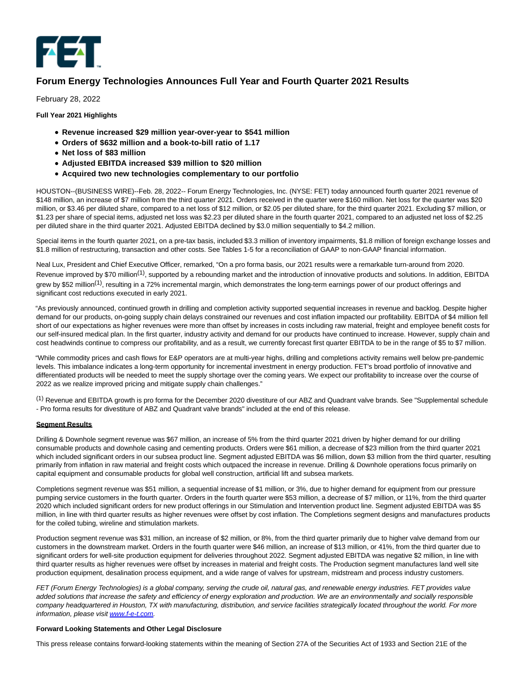

# **Forum Energy Technologies Announces Full Year and Fourth Quarter 2021 Results**

February 28, 2022

**Full Year 2021 Highlights**

- **Revenue increased \$29 million year-over-year to \$541 million**
- **Orders of \$632 million and a book-to-bill ratio of 1.17**
- **Net loss of \$83 million**
- **Adjusted EBITDA increased \$39 million to \$20 million**
- **Acquired two new technologies complementary to our portfolio**

HOUSTON--(BUSINESS WIRE)--Feb. 28, 2022-- Forum Energy Technologies, Inc. (NYSE: FET) today announced fourth quarter 2021 revenue of \$148 million, an increase of \$7 million from the third quarter 2021. Orders received in the quarter were \$160 million. Net loss for the quarter was \$20 million, or \$3.46 per diluted share, compared to a net loss of \$12 million, or \$2.05 per diluted share, for the third quarter 2021. Excluding \$7 million, or \$1.23 per share of special items, adjusted net loss was \$2.23 per diluted share in the fourth quarter 2021, compared to an adjusted net loss of \$2.25 per diluted share in the third quarter 2021. Adjusted EBITDA declined by \$3.0 million sequentially to \$4.2 million.

Special items in the fourth quarter 2021, on a pre-tax basis, included \$3.3 million of inventory impairments, \$1.8 million of foreign exchange losses and \$1.8 million of restructuring, transaction and other costs. See Tables 1-5 for a reconciliation of GAAP to non-GAAP financial information.

Neal Lux, President and Chief Executive Officer, remarked, "On a pro forma basis, our 2021 results were a remarkable turn-around from 2020. Revenue improved by \$70 million<sup>(1)</sup>, supported by a rebounding market and the introduction of innovative products and solutions. In addition, EBITDA grew by \$52 million<sup>(1)</sup>, resulting in a 72% incremental margin, which demonstrates the long-term earnings power of our product offerings and significant cost reductions executed in early 2021.

"As previously announced, continued growth in drilling and completion activity supported sequential increases in revenue and backlog. Despite higher demand for our products, on-going supply chain delays constrained our revenues and cost inflation impacted our profitability. EBITDA of \$4 million fell short of our expectations as higher revenues were more than offset by increases in costs including raw material, freight and employee benefit costs for our self-insured medical plan. In the first quarter, industry activity and demand for our products have continued to increase. However, supply chain and cost headwinds continue to compress our profitability, and as a result, we currently forecast first quarter EBITDA to be in the range of \$5 to \$7 million.

"While commodity prices and cash flows for E&P operators are at multi-year highs, drilling and completions activity remains well below pre-pandemic levels. This imbalance indicates a long-term opportunity for incremental investment in energy production. FET's broad portfolio of innovative and differentiated products will be needed to meet the supply shortage over the coming years. We expect our profitability to increase over the course of 2022 as we realize improved pricing and mitigate supply chain challenges."

(1) Revenue and EBITDA growth is pro forma for the December 2020 divestiture of our ABZ and Quadrant valve brands. See "Supplemental schedule - Pro forma results for divestiture of ABZ and Quadrant valve brands" included at the end of this release.

#### **Segment Results**

Drilling & Downhole segment revenue was \$67 million, an increase of 5% from the third quarter 2021 driven by higher demand for our drilling consumable products and downhole casing and cementing products. Orders were \$61 million, a decrease of \$23 million from the third quarter 2021 which included significant orders in our subsea product line. Segment adjusted EBITDA was \$6 million, down \$3 million from the third quarter, resulting primarily from inflation in raw material and freight costs which outpaced the increase in revenue. Drilling & Downhole operations focus primarily on capital equipment and consumable products for global well construction, artificial lift and subsea markets.

Completions segment revenue was \$51 million, a sequential increase of \$1 million, or 3%, due to higher demand for equipment from our pressure pumping service customers in the fourth quarter. Orders in the fourth quarter were \$53 million, a decrease of \$7 million, or 11%, from the third quarter 2020 which included significant orders for new product offerings in our Stimulation and Intervention product line. Segment adjusted EBITDA was \$5 million, in line with third quarter results as higher revenues were offset by cost inflation. The Completions segment designs and manufactures products for the coiled tubing, wireline and stimulation markets.

Production segment revenue was \$31 million, an increase of \$2 million, or 8%, from the third quarter primarily due to higher valve demand from our customers in the downstream market. Orders in the fourth quarter were \$46 million, an increase of \$13 million, or 41%, from the third quarter due to significant orders for well-site production equipment for deliveries throughout 2022. Segment adjusted EBITDA was negative \$2 million, in line with third quarter results as higher revenues were offset by increases in material and freight costs. The Production segment manufactures land well site production equipment, desalination process equipment, and a wide range of valves for upstream, midstream and process industry customers.

FET (Forum Energy Technologies) is a global company, serving the crude oil, natural gas, and renewable energy industries. FET provides value added solutions that increase the safety and efficiency of energy exploration and production. We are an environmentally and socially responsible company headquartered in Houston, TX with manufacturing, distribution, and service facilities strategically located throughout the world. For more information, please visi[t www.f-e-t.com.](https://cts.businesswire.com/ct/CT?id=smartlink&url=http%3A%2F%2Fwww.f-e-t.com&esheet=52586771&newsitemid=20220228005926&lan=en-US&anchor=www.f-e-t.com&index=1&md5=dee10a701d3cbf7f3d8d429b3eeb2588)

#### **Forward Looking Statements and Other Legal Disclosure**

This press release contains forward-looking statements within the meaning of Section 27A of the Securities Act of 1933 and Section 21E of the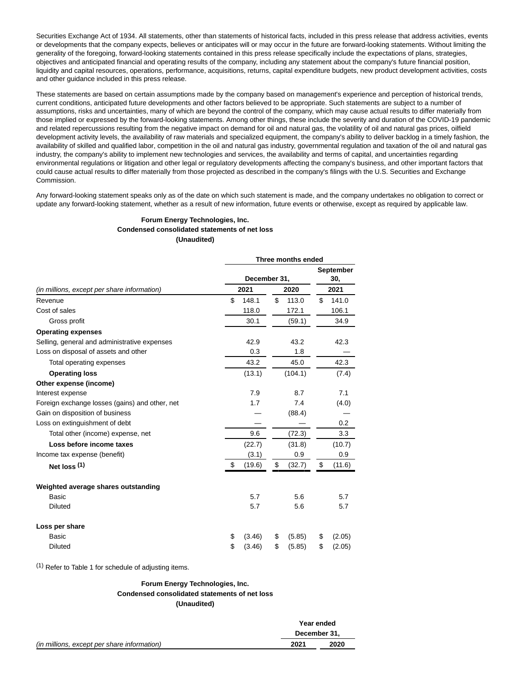Securities Exchange Act of 1934. All statements, other than statements of historical facts, included in this press release that address activities, events or developments that the company expects, believes or anticipates will or may occur in the future are forward-looking statements. Without limiting the generality of the foregoing, forward-looking statements contained in this press release specifically include the expectations of plans, strategies, objectives and anticipated financial and operating results of the company, including any statement about the company's future financial position, liquidity and capital resources, operations, performance, acquisitions, returns, capital expenditure budgets, new product development activities, costs and other guidance included in this press release.

These statements are based on certain assumptions made by the company based on management's experience and perception of historical trends, current conditions, anticipated future developments and other factors believed to be appropriate. Such statements are subject to a number of assumptions, risks and uncertainties, many of which are beyond the control of the company, which may cause actual results to differ materially from those implied or expressed by the forward-looking statements. Among other things, these include the severity and duration of the COVID-19 pandemic and related repercussions resulting from the negative impact on demand for oil and natural gas, the volatility of oil and natural gas prices, oilfield development activity levels, the availability of raw materials and specialized equipment, the company's ability to deliver backlog in a timely fashion, the availability of skilled and qualified labor, competition in the oil and natural gas industry, governmental regulation and taxation of the oil and natural gas industry, the company's ability to implement new technologies and services, the availability and terms of capital, and uncertainties regarding environmental regulations or litigation and other legal or regulatory developments affecting the company's business, and other important factors that could cause actual results to differ materially from those projected as described in the company's filings with the U.S. Securities and Exchange Commission.

Any forward-looking statement speaks only as of the date on which such statement is made, and the company undertakes no obligation to correct or update any forward-looking statement, whether as a result of new information, future events or otherwise, except as required by applicable law.

#### **Forum Energy Technologies, Inc. Condensed consolidated statements of net loss (Unaudited)**

| Three months ended |        |      |         |              |                  |  |  |  |  |  |  |
|--------------------|--------|------|---------|--------------|------------------|--|--|--|--|--|--|
|                    |        |      |         |              | September<br>30, |  |  |  |  |  |  |
|                    |        |      | 2020    |              | 2021             |  |  |  |  |  |  |
| \$                 | 148.1  | \$   | 113.0   | \$           | 141.0            |  |  |  |  |  |  |
|                    | 118.0  |      | 172.1   |              | 106.1            |  |  |  |  |  |  |
|                    | 30.1   |      | (59.1)  |              | 34.9             |  |  |  |  |  |  |
|                    |        |      |         |              |                  |  |  |  |  |  |  |
|                    | 42.9   |      | 43.2    |              | 42.3             |  |  |  |  |  |  |
|                    | 0.3    |      | 1.8     |              |                  |  |  |  |  |  |  |
|                    | 43.2   |      | 45.0    |              | 42.3             |  |  |  |  |  |  |
|                    | (13.1) |      | (104.1) |              | (7.4)            |  |  |  |  |  |  |
|                    |        |      |         |              |                  |  |  |  |  |  |  |
|                    | 7.9    |      | 8.7     |              | 7.1              |  |  |  |  |  |  |
|                    | 1.7    |      | 7.4     |              | (4.0)            |  |  |  |  |  |  |
|                    |        |      | (88.4)  |              |                  |  |  |  |  |  |  |
|                    |        |      |         |              | 0.2              |  |  |  |  |  |  |
|                    | 9.6    |      | (72.3)  |              | 3.3              |  |  |  |  |  |  |
|                    | (22.7) |      | (31.8)  |              | (10.7)           |  |  |  |  |  |  |
|                    | (3.1)  |      | 0.9     |              | 0.9              |  |  |  |  |  |  |
| \$                 | (19.6) | \$   | (32.7)  | \$           | (11.6)           |  |  |  |  |  |  |
|                    |        |      |         |              |                  |  |  |  |  |  |  |
|                    | 5.7    |      | 5.6     |              | 5.7              |  |  |  |  |  |  |
|                    | 5.7    |      | 5.6     |              | 5.7              |  |  |  |  |  |  |
|                    |        |      |         |              |                  |  |  |  |  |  |  |
| \$                 | (3.46) | \$   | (5.85)  | \$           | (2.05)           |  |  |  |  |  |  |
| \$                 | (3.46) | \$   | (5.85)  | \$           | (2.05)           |  |  |  |  |  |  |
|                    |        | 2021 |         | December 31, |                  |  |  |  |  |  |  |

 $(1)$  Refer to Table 1 for schedule of adjusting items.

### **Forum Energy Technologies, Inc. Condensed consolidated statements of net loss (Unaudited)**

|                                             | Year ended   |      |
|---------------------------------------------|--------------|------|
|                                             | December 31. |      |
| (in millions, except per share information) | 2021         | 2020 |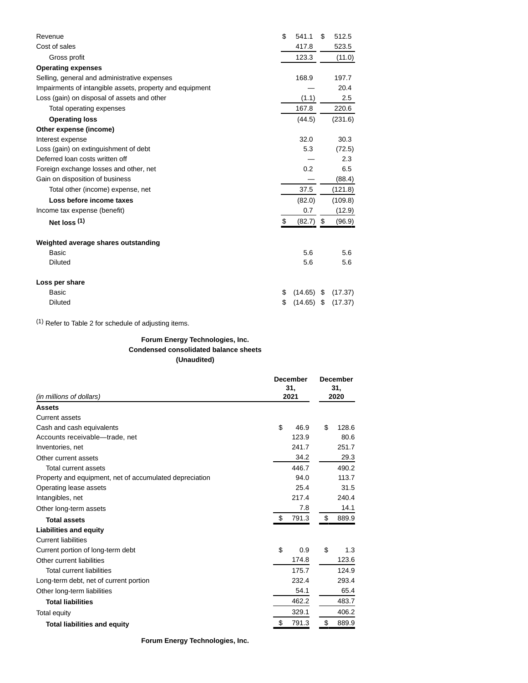| Revenue                                                  | \$<br>541.1   | \$   | 512.5   |
|----------------------------------------------------------|---------------|------|---------|
| Cost of sales                                            | 417.8         |      | 523.5   |
| Gross profit                                             | 123.3         |      | (11.0)  |
| <b>Operating expenses</b>                                |               |      |         |
| Selling, general and administrative expenses             | 168.9         |      | 197.7   |
| Impairments of intangible assets, property and equipment |               |      | 20.4    |
| Loss (gain) on disposal of assets and other              | (1.1)         |      | 2.5     |
| Total operating expenses                                 | 167.8         |      | 220.6   |
| <b>Operating loss</b>                                    | (44.5)        |      | (231.6) |
| Other expense (income)                                   |               |      |         |
| Interest expense                                         | 32.0          |      | 30.3    |
| Loss (gain) on extinguishment of debt                    | 5.3           |      | (72.5)  |
| Deferred loan costs written off                          |               |      | 2.3     |
| Foreign exchange losses and other, net                   | 0.2           |      | 6.5     |
| Gain on disposition of business                          |               |      | (88.4)  |
| Total other (income) expense, net                        | 37.5          |      | (121.8) |
| Loss before income taxes                                 | (82.0)        |      | (109.8) |
| Income tax expense (benefit)                             | 0.7           |      | (12.9)  |
| Net $loss(1)$                                            | \$<br>(82.7)  | - \$ | (96.9)  |
| Weighted average shares outstanding                      |               |      |         |
| Basic                                                    | 5.6           |      | 5.6     |
| <b>Diluted</b>                                           | 5.6           |      | 5.6     |
| Loss per share                                           |               |      |         |
| Basic                                                    | \$<br>(14.65) | - \$ | (17.37) |
| <b>Diluted</b>                                           | \$<br>(14.65) | \$   | (17.37) |

(1) Refer to Table 2 for schedule of adjusting items.

## **Forum Energy Technologies, Inc. Condensed consolidated balance sheets (Unaudited)**

|                                                         | <b>December</b><br>31, |       |    | <b>December</b><br>31, |
|---------------------------------------------------------|------------------------|-------|----|------------------------|
| (in millions of dollars)                                |                        | 2021  |    | 2020                   |
| <b>Assets</b>                                           |                        |       |    |                        |
| <b>Current assets</b>                                   |                        |       |    |                        |
| Cash and cash equivalents                               | \$                     | 46.9  | \$ | 128.6                  |
| Accounts receivable-trade, net                          |                        | 123.9 |    | 80.6                   |
| Inventories, net                                        |                        | 241.7 |    | 251.7                  |
| Other current assets                                    |                        | 34.2  |    | 29.3                   |
| Total current assets                                    |                        | 446.7 |    | 490.2                  |
| Property and equipment, net of accumulated depreciation |                        | 94.0  |    | 113.7                  |
| Operating lease assets                                  |                        | 25.4  |    | 31.5                   |
| Intangibles, net                                        |                        | 217.4 |    | 240.4                  |
| Other long-term assets                                  |                        | 7.8   |    | 14.1                   |
| <b>Total assets</b>                                     | \$                     | 791.3 | \$ | 889.9                  |
| <b>Liabilities and equity</b>                           |                        |       |    |                        |
| <b>Current liabilities</b>                              |                        |       |    |                        |
| Current portion of long-term debt                       | \$                     | 0.9   | \$ | 1.3                    |
| Other current liabilities                               |                        | 174.8 |    | 123.6                  |
| <b>Total current liabilities</b>                        |                        | 175.7 |    | 124.9                  |
| Long-term debt, net of current portion                  |                        | 232.4 |    | 293.4                  |
| Other long-term liabilities                             |                        | 54.1  |    | 65.4                   |
| <b>Total liabilities</b>                                |                        | 462.2 |    | 483.7                  |
| Total equity                                            |                        | 329.1 |    | 406.2                  |
| <b>Total liabilities and equity</b>                     | \$                     | 791.3 | \$ | 889.9                  |

**Forum Energy Technologies, Inc.**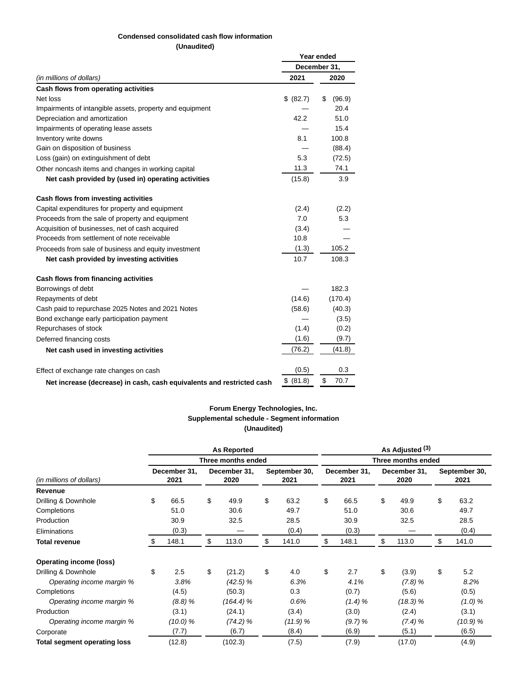## **Condensed consolidated cash flow information**

**(Unaudited)**

|                                                                       |           | Year ended   |
|-----------------------------------------------------------------------|-----------|--------------|
|                                                                       |           | December 31, |
| (in millions of dollars)                                              | 2021      | 2020         |
| Cash flows from operating activities                                  |           |              |
| Net loss                                                              | \$ (82.7) | (96.9)<br>S  |
| Impairments of intangible assets, property and equipment              |           | 20.4         |
| Depreciation and amortization                                         | 42.2      | 51.0         |
| Impairments of operating lease assets                                 |           | 15.4         |
| Inventory write downs                                                 | 8.1       | 100.8        |
| Gain on disposition of business                                       |           | (88.4)       |
| Loss (gain) on extinguishment of debt                                 | 5.3       | (72.5)       |
| Other noncash items and changes in working capital                    | 11.3      | 74.1         |
| Net cash provided by (used in) operating activities                   | (15.8)    | 3.9          |
| Cash flows from investing activities                                  |           |              |
| Capital expenditures for property and equipment                       | (2.4)     | (2.2)        |
| Proceeds from the sale of property and equipment                      | 7.0       | 5.3          |
| Acquisition of businesses, net of cash acquired                       | (3.4)     |              |
| Proceeds from settlement of note receivable                           | 10.8      |              |
| Proceeds from sale of business and equity investment                  | (1.3)     | 105.2        |
| Net cash provided by investing activities                             | 10.7      | 108.3        |
| Cash flows from financing activities                                  |           |              |
| Borrowings of debt                                                    |           | 182.3        |
| Repayments of debt                                                    | (14.6)    | (170.4)      |
| Cash paid to repurchase 2025 Notes and 2021 Notes                     | (58.6)    | (40.3)       |
| Bond exchange early participation payment                             |           | (3.5)        |
| Repurchases of stock                                                  | (1.4)     | (0.2)        |
| Deferred financing costs                                              | (1.6)     | (9.7)        |
| Net cash used in investing activities                                 | (76.2)    | (41.8)       |
| Effect of exchange rate changes on cash                               | (0.5)     | 0.3          |
| Net increase (decrease) in cash, cash equivalents and restricted cash | \$ (81.8) | \$<br>70.7   |

### **Forum Energy Technologies, Inc. Supplemental schedule - Segment information (Unaudited)**

|                              |                      |          | <b>As Reported</b>   |    |                       | As Adjusted (3)<br>Three months ended |                      |    |                      |    |                       |  |  |  |
|------------------------------|----------------------|----------|----------------------|----|-----------------------|---------------------------------------|----------------------|----|----------------------|----|-----------------------|--|--|--|
|                              |                      |          | Three months ended   |    |                       |                                       |                      |    |                      |    |                       |  |  |  |
| (in millions of dollars)     | December 31,<br>2021 |          | December 31,<br>2020 |    | September 30,<br>2021 |                                       | December 31,<br>2021 |    | December 31,<br>2020 |    | September 30,<br>2021 |  |  |  |
| Revenue                      |                      |          |                      |    |                       |                                       |                      |    |                      |    |                       |  |  |  |
| Drilling & Downhole          | \$                   | 66.5     | \$<br>49.9           | \$ | 63.2                  | \$                                    | 66.5                 | \$ | 49.9                 | \$ | 63.2                  |  |  |  |
| Completions                  |                      | 51.0     | 30.6                 |    | 49.7                  |                                       | 51.0                 |    | 30.6                 |    | 49.7                  |  |  |  |
| Production                   |                      | 30.9     | 32.5                 |    | 28.5                  |                                       | 30.9                 |    | 32.5                 |    | 28.5                  |  |  |  |
| Eliminations                 |                      | (0.3)    |                      |    | (0.4)                 |                                       | (0.3)                |    |                      |    | (0.4)                 |  |  |  |
| <b>Total revenue</b>         | \$                   | 148.1    | \$<br>113.0          | \$ | 141.0                 | \$                                    | 148.1                | \$ | 113.0                | \$ | 141.0                 |  |  |  |
| Operating income (loss)      |                      |          |                      |    |                       |                                       |                      |    |                      |    |                       |  |  |  |
| Drilling & Downhole          | \$                   | 2.5      | \$<br>(21.2)         | \$ | 4.0                   | \$                                    | 2.7                  | \$ | (3.9)                | \$ | 5.2                   |  |  |  |
| Operating income margin %    |                      | 3.8%     | (42.5) %             |    | 6.3%                  |                                       | 4.1%                 |    | (7.8)%               |    | 8.2%                  |  |  |  |
| Completions                  |                      | (4.5)    | (50.3)               |    | 0.3                   |                                       | (0.7)                |    | (5.6)                |    | (0.5)                 |  |  |  |
| Operating income margin %    |                      | (8.8)%   | (164.4) %            |    | 0.6%                  |                                       | (1.4)%               |    | (18.3) %             |    | (1.0) %               |  |  |  |
| Production                   |                      | (3.1)    | (24.1)               |    | (3.4)                 |                                       | (3.0)                |    | (2.4)                |    | (3.1)                 |  |  |  |
| Operating income margin %    |                      | (10.0) % | (74.2) %             |    | (11.9) %              |                                       | (9.7)%               |    | (7.4) %              |    | (10.9) %              |  |  |  |
| Corporate                    |                      | (7.7)    | (6.7)                |    | (8.4)                 |                                       | (6.9)                |    | (5.1)                |    | (6.5)                 |  |  |  |
| Total segment operating loss |                      | (12.8)   | (102.3)              |    | (7.5)                 |                                       | (7.9)                |    | (17.0)               |    | (4.9)                 |  |  |  |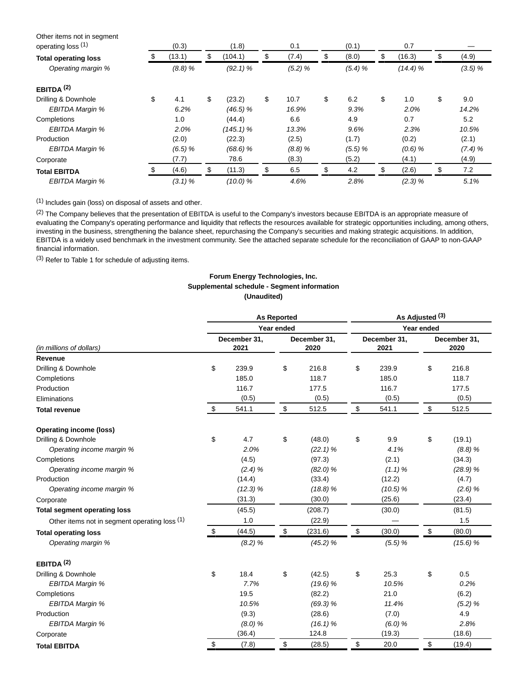| Other items not in segment<br>operating loss (1) |    | (0.3)  | (1.8)         | 0.1         | (0.1)       | 0.7          |             |
|--------------------------------------------------|----|--------|---------------|-------------|-------------|--------------|-------------|
| <b>Total operating loss</b>                      | S. | (13.1) | \$<br>(104.1) | \$<br>(7.4) | \$<br>(8.0) | \$<br>(16.3) | \$<br>(4.9) |
| Operating margin %                               |    | (8.8)% | $(92.1)$ %    | (5.2) %     | (5.4)%      | (14.4)%      | (3.5) %     |
| EBITDA $(2)$                                     |    |        |               |             |             |              |             |
| Drilling & Downhole                              | \$ | 4.1    | \$<br>(23.2)  | \$<br>10.7  | \$<br>6.2   | \$<br>1.0    | \$<br>9.0   |
| EBITDA Margin %                                  |    | 6.2%   | $(46.5)$ %    | 16.9%       | 9.3%        | 2.0%         | 14.2%       |
| Completions                                      |    | 1.0    | (44.4)        | 6.6         | 4.9         | 0.7          | 5.2         |
| <b>EBITDA Margin %</b>                           |    | 2.0%   | $(145.1)$ %   | 13.3%       | 9.6%        | 2.3%         | 10.5%       |
| Production                                       |    | (2.0)  | (22.3)        | (2.5)       | (1.7)       | (0.2)        | (2.1)       |
| EBITDA Margin %                                  |    | (6.5)% | $(68.6)$ %    | (8.8)%      | (5.5) %     | $(0.6)$ %    | (7.4)%      |
| Corporate                                        |    | (7.7)  | 78.6          | (8.3)       | (5.2)       | (4.1)        | (4.9)       |
| <b>Total EBITDA</b>                              |    | (4.6)  | \$<br>(11.3)  | \$<br>6.5   | \$<br>4.2   | \$<br>(2.6)  | \$<br>7.2   |
| EBITDA Margin %                                  |    | (3.1)% | (10.0) %      | 4.6%        | 2.8%        | (2.3)%       | 5.1%        |

(1) Includes gain (loss) on disposal of assets and other.

(2) The Company believes that the presentation of EBITDA is useful to the Company's investors because EBITDA is an appropriate measure of evaluating the Company's operating performance and liquidity that reflects the resources available for strategic opportunities including, among others, investing in the business, strengthening the balance sheet, repurchasing the Company's securities and making strategic acquisitions. In addition, EBITDA is a widely used benchmark in the investment community. See the attached separate schedule for the reconciliation of GAAP to non-GAAP financial information.

(3) Refer to Table 1 for schedule of adjusting items.

## **Forum Energy Technologies, Inc. Supplemental schedule - Segment information (Unaudited)**

|                                               |       |                      | <b>As Reported</b> |                      | As Adjusted (3) |                      |        |                      |  |  |  |  |  |
|-----------------------------------------------|-------|----------------------|--------------------|----------------------|-----------------|----------------------|--------|----------------------|--|--|--|--|--|
|                                               |       |                      | Year ended         |                      | Year ended      |                      |        |                      |  |  |  |  |  |
| (in millions of dollars)                      |       | December 31,<br>2021 |                    | December 31,<br>2020 |                 | December 31,<br>2021 |        | December 31,<br>2020 |  |  |  |  |  |
| Revenue                                       |       |                      |                    |                      |                 |                      |        |                      |  |  |  |  |  |
| Drilling & Downhole                           | \$    | 239.9                | \$                 | 216.8                | \$              | 239.9                | \$     | 216.8                |  |  |  |  |  |
| Completions                                   |       | 185.0                |                    | 118.7                |                 | 185.0                |        | 118.7                |  |  |  |  |  |
| Production                                    |       | 116.7                |                    | 177.5                |                 | 116.7                |        | 177.5                |  |  |  |  |  |
| Eliminations                                  | (0.5) |                      |                    | (0.5)                |                 | (0.5)                |        | (0.5)                |  |  |  |  |  |
| <b>Total revenue</b>                          | \$    | 541.1                | \$                 | 512.5                | \$              | 541.1                | \$     | 512.5                |  |  |  |  |  |
| <b>Operating income (loss)</b>                |       |                      |                    |                      |                 |                      |        |                      |  |  |  |  |  |
| Drilling & Downhole                           | \$    | 4.7                  | \$                 | (48.0)               | \$              | 9.9                  | \$     | (19.1)               |  |  |  |  |  |
| Operating income margin %                     |       | 2.0%                 |                    | (22.1) %             |                 | 4.1%                 |        | (8.8)%               |  |  |  |  |  |
| Completions                                   |       | (4.5)                |                    | (97.3)               |                 | (2.1)                |        | (34.3)               |  |  |  |  |  |
| Operating income margin %                     |       | (2.4)%               |                    | $(82.0)$ %           |                 | (1.1)%               |        | (28.9) %             |  |  |  |  |  |
| Production                                    |       | (14.4)               |                    | (33.4)               |                 | (12.2)               |        | (4.7)                |  |  |  |  |  |
| Operating income margin %                     |       | (12.3) %             |                    | (18.8)%              |                 | (10.5) %             |        | $(2.6)$ %            |  |  |  |  |  |
| Corporate                                     |       | (31.3)               |                    | (30.0)               |                 | (25.6)               |        | (23.4)               |  |  |  |  |  |
| <b>Total segment operating loss</b>           |       | (45.5)               |                    | (208.7)              |                 | (30.0)               |        | (81.5)               |  |  |  |  |  |
| Other items not in segment operating loss (1) |       | 1.0                  |                    | (22.9)               |                 |                      |        | 1.5                  |  |  |  |  |  |
| <b>Total operating loss</b>                   | \$    | (44.5)               | \$                 | (231.6)              | \$              | (30.0)               | \$     | (80.0)               |  |  |  |  |  |
| Operating margin %                            |       | (8.2) %              |                    | (45.2) %             |                 | (5.5) %              |        | (15.6) %             |  |  |  |  |  |
| EBITDA $(2)$                                  |       |                      |                    |                      |                 |                      |        |                      |  |  |  |  |  |
| Drilling & Downhole                           | \$    | 18.4                 | \$                 | (42.5)               | \$              | 25.3                 | \$     | 0.5                  |  |  |  |  |  |
| EBITDA Margin %                               |       | 7.7%                 |                    | (19.6) %             |                 | 10.5%                |        | 0.2%                 |  |  |  |  |  |
| Completions                                   |       | 19.5                 |                    | (82.2)               |                 | 21.0                 |        | (6.2)                |  |  |  |  |  |
| EBITDA Margin %                               |       | 10.5%                |                    | (69.3) %             |                 | 11.4%                |        | (5.2) %              |  |  |  |  |  |
| Production                                    |       | (9.3)                | (28.6)             |                      | (7.0)           |                      |        | 4.9                  |  |  |  |  |  |
| EBITDA Margin %                               |       | (8.0) %              | (16.1) %           |                      | (6.0) %         |                      | 2.8%   |                      |  |  |  |  |  |
| Corporate                                     |       | (36.4)               |                    | 124.8                |                 | (19.3)               | (18.6) |                      |  |  |  |  |  |
| <b>Total EBITDA</b>                           | \$    | (7.8)                | \$                 | (28.5)               | \$              | 20.0                 | \$     | (19.4)               |  |  |  |  |  |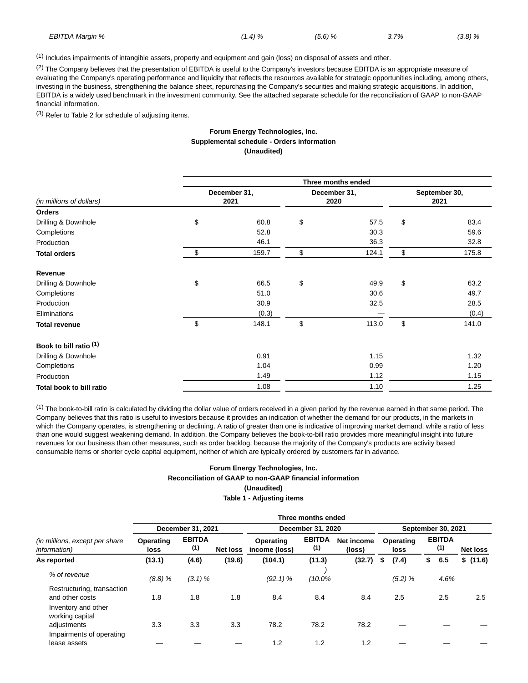| EBITDA Margin % | $1.4) \%$ | (5.6)% | 3.7% | (3.8)% |
|-----------------|-----------|--------|------|--------|
|                 |           |        |      |        |

 $<sup>(1)</sup>$  Includes impairments of intangible assets, property and equipment and gain (loss) on disposal of assets and other.</sup>

 $(2)$  The Company believes that the presentation of EBITDA is useful to the Company's investors because EBITDA is an appropriate measure of evaluating the Company's operating performance and liquidity that reflects the resources available for strategic opportunities including, among others, investing in the business, strengthening the balance sheet, repurchasing the Company's securities and making strategic acquisitions. In addition, EBITDA is a widely used benchmark in the investment community. See the attached separate schedule for the reconciliation of GAAP to non-GAAP financial information.

(3) Refer to Table 2 for schedule of adjusting items.

#### **Forum Energy Technologies, Inc. Supplemental schedule - Orders information (Unaudited)**

|                                   | Three months ended |                      |    |                      |    |                       |  |  |  |  |  |  |  |
|-----------------------------------|--------------------|----------------------|----|----------------------|----|-----------------------|--|--|--|--|--|--|--|
| (in millions of dollars)          |                    | December 31,<br>2021 |    | December 31,<br>2020 |    | September 30,<br>2021 |  |  |  |  |  |  |  |
| Orders                            |                    |                      |    |                      |    |                       |  |  |  |  |  |  |  |
| Drilling & Downhole               | \$                 | 60.8                 | \$ | 57.5                 | \$ | 83.4                  |  |  |  |  |  |  |  |
| Completions                       |                    | 52.8                 |    | 30.3                 |    | 59.6                  |  |  |  |  |  |  |  |
| Production                        |                    | 46.1                 |    | 36.3                 |    | 32.8                  |  |  |  |  |  |  |  |
| <b>Total orders</b>               | \$                 | 159.7                | \$ | 124.1                | \$ | 175.8                 |  |  |  |  |  |  |  |
| Revenue                           |                    |                      |    |                      |    |                       |  |  |  |  |  |  |  |
| Drilling & Downhole               | \$                 | 66.5                 | \$ | 49.9                 | \$ | 63.2                  |  |  |  |  |  |  |  |
| Completions                       |                    | 51.0                 |    | 30.6                 |    | 49.7                  |  |  |  |  |  |  |  |
| Production                        |                    | 30.9                 |    | 32.5                 |    | 28.5                  |  |  |  |  |  |  |  |
| Eliminations                      |                    | (0.3)                |    |                      |    | (0.4)                 |  |  |  |  |  |  |  |
| <b>Total revenue</b>              | \$                 | 148.1                | \$ | 113.0                | \$ | 141.0                 |  |  |  |  |  |  |  |
| Book to bill ratio <sup>(1)</sup> |                    |                      |    |                      |    |                       |  |  |  |  |  |  |  |
| Drilling & Downhole               |                    | 0.91                 |    | 1.15                 |    | 1.32                  |  |  |  |  |  |  |  |
| Completions                       |                    | 1.04                 |    | 0.99                 |    | 1.20                  |  |  |  |  |  |  |  |
| Production                        |                    | 1.49                 |    | 1.12                 |    | 1.15                  |  |  |  |  |  |  |  |
| Total book to bill ratio          |                    | 1.08                 |    | 1.10                 |    | 1.25                  |  |  |  |  |  |  |  |

 $<sup>(1)</sup>$  The book-to-bill ratio is calculated by dividing the dollar value of orders received in a given period by the revenue earned in that same period. The</sup> Company believes that this ratio is useful to investors because it provides an indication of whether the demand for our products, in the markets in which the Company operates, is strengthening or declining. A ratio of greater than one is indicative of improving market demand, while a ratio of less than one would suggest weakening demand. In addition, the Company believes the book-to-bill ratio provides more meaningful insight into future revenues for our business than other measures, such as order backlog, because the majority of the Company's products are activity based consumable items or shorter cycle capital equipment, neither of which are typically ordered by customers far in advance.

#### **Forum Energy Technologies, Inc. Reconciliation of GAAP to non-GAAP financial information (Unaudited) Table 1 - Adjusting items**

|                                                                | Three months ended       |                      |                 |                            |                      |                      |   |                   |                    |                      |  |                 |  |  |  |
|----------------------------------------------------------------|--------------------------|----------------------|-----------------|----------------------------|----------------------|----------------------|---|-------------------|--------------------|----------------------|--|-----------------|--|--|--|
|                                                                |                          | December 31, 2021    |                 |                            | December 31, 2020    |                      |   |                   | September 30, 2021 |                      |  |                 |  |  |  |
| <i>(in millions, except per share)</i><br><i>information</i> ) | Operating<br><b>loss</b> | <b>EBITDA</b><br>(1) | <b>Net loss</b> | Operating<br>income (loss) | <b>EBITDA</b><br>(1) | Net income<br>(loss) |   | Operating<br>loss |                    | <b>EBITDA</b><br>(1) |  | <b>Net loss</b> |  |  |  |
| As reported                                                    | (13.1)                   | (4.6)                | (19.6)          | (104.1)                    | (11.3)               | (32.7)               | S | (7.4)             | \$                 | 6.5                  |  | \$(11.6)        |  |  |  |
| % of revenue                                                   | (8.8)%                   | (3.1)%               |                 | $(92.1)$ %                 | (10.0%               |                      |   | (5.2) %           |                    | 4.6%                 |  |                 |  |  |  |
| Restructuring, transaction<br>and other costs                  | 1.8                      | 1.8                  | 1.8             | 8.4                        | 8.4                  | 8.4                  |   | 2.5               |                    | 2.5                  |  | 2.5             |  |  |  |
| Inventory and other<br>working capital<br>adjustments          | 3.3                      | 3.3                  | 3.3             | 78.2                       | 78.2                 | 78.2                 |   |                   |                    |                      |  |                 |  |  |  |
| Impairments of operating<br>lease assets                       |                          |                      |                 | 1.2                        | 1.2                  | 1.2                  |   |                   |                    |                      |  |                 |  |  |  |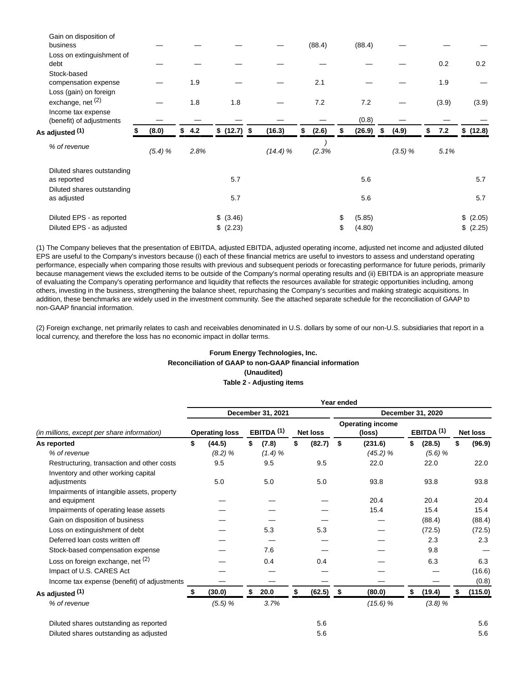| Gain on disposition of<br>business             |        |           |      |              |         | (88.4)      | (88.4)       |             |           |           |       |
|------------------------------------------------|--------|-----------|------|--------------|---------|-------------|--------------|-------------|-----------|-----------|-------|
| Loss on extinguishment of<br>debt              |        |           |      |              |         |             |              |             | 0.2       |           | 0.2   |
| Stock-based<br>compensation expense            |        |           | 1.9  |              |         | 2.1         |              |             | 1.9       |           |       |
| Loss (gain) on foreign<br>exchange, net (2)    |        |           | 1.8  | 1.8          |         | 7.2         | 7.2          |             | (3.9)     |           | (3.9) |
| Income tax expense<br>(benefit) of adjustments |        |           |      |              |         |             | (0.8)        |             |           |           |       |
| As adjusted <sup>(1)</sup>                     | (8.0)  | \$<br>4.2 |      | \$ (12.7) \$ | (16.3)  | \$<br>(2.6) | \$<br>(26.9) | \$<br>(4.9) | \$<br>7.2 | \$ (12.8) |       |
| % of revenue                                   | (5.4)% |           | 2.8% |              | (14.4)% | (2.3%       |              | (3.5)%      | 5.1%      |           |       |
| Diluted shares outstanding<br>as reported      |        |           |      | 5.7          |         |             | 5.6          |             |           |           | 5.7   |
| Diluted shares outstanding<br>as adjusted      |        |           |      | 5.7          |         |             | 5.6          |             |           |           | 5.7   |
| Diluted EPS - as reported                      |        |           |      | \$ (3.46)    |         |             | \$<br>(5.85) |             |           | (2.05)    |       |
| Diluted EPS - as adjusted                      |        |           |      | \$ (2.23)    |         |             | \$<br>(4.80) |             |           | \$ (2.25) |       |

(1) The Company believes that the presentation of EBITDA, adjusted EBITDA, adjusted operating income, adjusted net income and adjusted diluted EPS are useful to the Company's investors because (i) each of these financial metrics are useful to investors to assess and understand operating performance, especially when comparing those results with previous and subsequent periods or forecasting performance for future periods, primarily because management views the excluded items to be outside of the Company's normal operating results and (ii) EBITDA is an appropriate measure of evaluating the Company's operating performance and liquidity that reflects the resources available for strategic opportunities including, among others, investing in the business, strengthening the balance sheet, repurchasing the Company's securities and making strategic acquisitions. In addition, these benchmarks are widely used in the investment community. See the attached separate schedule for the reconciliation of GAAP to non-GAAP financial information.

(2) Foreign exchange, net primarily relates to cash and receivables denominated in U.S. dollars by some of our non-U.S. subsidiaries that report in a local currency, and therefore the loss has no economic impact in dollar terms.

### **Forum Energy Technologies, Inc. Reconciliation of GAAP to non-GAAP financial information (Unaudited) Table 2 - Adjusting items**

|                                                             | Year ended |                       |    |              |    |                 |     |                                   |    |                       |    |                 |
|-------------------------------------------------------------|------------|-----------------------|----|--------------|----|-----------------|-----|-----------------------------------|----|-----------------------|----|-----------------|
| (in millions, except per share information)                 |            | December 31, 2021     |    |              |    |                 |     | December 31, 2020                 |    |                       |    |                 |
|                                                             |            | <b>Operating loss</b> |    | EBITDA $(1)$ |    | <b>Net loss</b> |     | <b>Operating income</b><br>(loss) |    | EBITDA <sup>(1)</sup> |    | <b>Net loss</b> |
| As reported                                                 | \$         | (44.5)                | \$ | (7.8)        | \$ | (82.7)          | -\$ | (231.6)                           | \$ | (28.5)                | \$ | (96.9)          |
| % of revenue                                                |            | (8.2) %               |    | (1.4)%       |    |                 |     | (45.2) %                          |    | $(5.6)$ %             |    |                 |
| Restructuring, transaction and other costs                  |            | 9.5                   |    | 9.5          |    | 9.5             |     | 22.0                              |    | 22.0                  |    | 22.0            |
| Inventory and other working capital<br>adjustments          |            | 5.0                   |    | 5.0          |    | 5.0             |     | 93.8                              |    | 93.8                  |    | 93.8            |
| Impairments of intangible assets, property<br>and equipment |            |                       |    |              |    |                 |     | 20.4                              |    | 20.4                  |    | 20.4            |
| Impairments of operating lease assets                       |            |                       |    |              |    |                 |     | 15.4                              |    | 15.4                  |    | 15.4            |
| Gain on disposition of business                             |            |                       |    |              |    |                 |     |                                   |    | (88.4)                |    | (88.4)          |
| Loss on extinguishment of debt                              |            |                       |    | 5.3          |    | 5.3             |     |                                   |    | (72.5)                |    | (72.5)          |
| Deferred loan costs written off                             |            |                       |    |              |    |                 |     |                                   |    | 2.3                   |    | 2.3             |
| Stock-based compensation expense                            |            |                       |    | 7.6          |    |                 |     |                                   |    | 9.8                   |    |                 |
| Loss on foreign exchange, net (2)                           |            |                       |    | 0.4          |    | 0.4             |     |                                   |    | 6.3                   |    | 6.3             |
| Impact of U.S. CARES Act                                    |            |                       |    |              |    |                 |     |                                   |    |                       |    | (16.6)          |
| Income tax expense (benefit) of adjustments                 |            |                       |    |              |    |                 |     |                                   |    |                       |    | (0.8)           |
| As adjusted (1)                                             |            | (30.0)                | \$ | 20.0         | \$ | (62.5)          | -\$ | (80.0)                            | \$ | (19.4)                | \$ | (115.0)         |
| % of revenue                                                |            | (5.5) %               |    | 3.7%         |    |                 |     | (15.6) %                          |    | (3.8)%                |    |                 |
| Diluted shares outstanding as reported                      |            |                       |    |              |    | 5.6             |     |                                   |    |                       |    | 5.6             |
| Diluted shares outstanding as adjusted                      |            |                       |    |              |    | 5.6             |     |                                   |    |                       |    | 5.6             |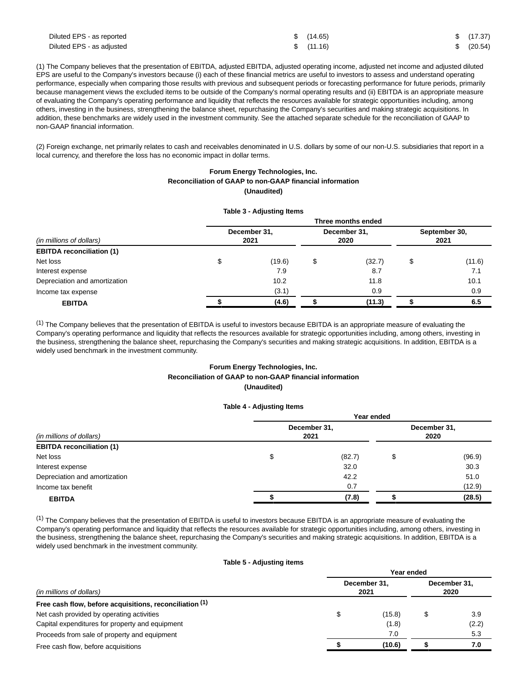| Diluted EPS - as reported | \$(14.65) | \$(17.37)  |
|---------------------------|-----------|------------|
| Diluted EPS - as adjusted | \$(11.16) | \$ (20.54) |

(1) The Company believes that the presentation of EBITDA, adjusted EBITDA, adjusted operating income, adjusted net income and adjusted diluted EPS are useful to the Company's investors because (i) each of these financial metrics are useful to investors to assess and understand operating performance, especially when comparing those results with previous and subsequent periods or forecasting performance for future periods, primarily because management views the excluded items to be outside of the Company's normal operating results and (ii) EBITDA is an appropriate measure of evaluating the Company's operating performance and liquidity that reflects the resources available for strategic opportunities including, among others, investing in the business, strengthening the balance sheet, repurchasing the Company's securities and making strategic acquisitions. In addition, these benchmarks are widely used in the investment community. See the attached separate schedule for the reconciliation of GAAP to non-GAAP financial information.

(2) Foreign exchange, net primarily relates to cash and receivables denominated in U.S. dollars by some of our non-U.S. subsidiaries that report in a local currency, and therefore the loss has no economic impact in dollar terms.

#### **Forum Energy Technologies, Inc. Reconciliation of GAAP to non-GAAP financial information (Unaudited)**

|                                  |                      | Table 3 - Adjusting Items |                      |        |                       |        |  |  |  |  |
|----------------------------------|----------------------|---------------------------|----------------------|--------|-----------------------|--------|--|--|--|--|
|                                  | Three months ended   |                           |                      |        |                       |        |  |  |  |  |
| (in millions of dollars)         | December 31,<br>2021 |                           | December 31,<br>2020 |        | September 30,<br>2021 |        |  |  |  |  |
| <b>EBITDA reconciliation (1)</b> |                      |                           |                      |        |                       |        |  |  |  |  |
| Net loss                         | \$                   | (19.6)                    | \$                   | (32.7) | \$                    | (11.6) |  |  |  |  |
| Interest expense                 |                      | 7.9                       |                      | 8.7    |                       | 7.1    |  |  |  |  |
| Depreciation and amortization    |                      | 10.2                      |                      | 11.8   |                       | 10.1   |  |  |  |  |
| Income tax expense               |                      | (3.1)                     |                      | 0.9    |                       | 0.9    |  |  |  |  |
| <b>EBITDA</b>                    |                      | (4.6)                     |                      | (11.3) |                       | 6.5    |  |  |  |  |

 $<sup>(1)</sup>$  The Company believes that the presentation of EBITDA is useful to investors because EBITDA is an appropriate measure of evaluating the</sup> Company's operating performance and liquidity that reflects the resources available for strategic opportunities including, among others, investing in the business, strengthening the balance sheet, repurchasing the Company's securities and making strategic acquisitions. In addition, EBITDA is a widely used benchmark in the investment community.

## **Forum Energy Technologies, Inc.**

#### **Reconciliation of GAAP to non-GAAP financial information (Unaudited)**

#### **Table 4 - Adjusting Items**

| (in millions of dollars)<br><b>EBITDA reconciliation (1)</b> | Year ended           |                      |  |        |  |  |  |  |
|--------------------------------------------------------------|----------------------|----------------------|--|--------|--|--|--|--|
|                                                              | December 31,<br>2021 | December 31,<br>2020 |  |        |  |  |  |  |
|                                                              |                      |                      |  |        |  |  |  |  |
| Net loss                                                     | Ψ                    | (82.7)               |  | (96.9) |  |  |  |  |
| Interest expense                                             |                      | 32.0                 |  | 30.3   |  |  |  |  |
| Depreciation and amortization                                |                      | 42.2                 |  | 51.0   |  |  |  |  |
| Income tax benefit                                           |                      | 0.7                  |  | (12.9) |  |  |  |  |
| <b>EBITDA</b>                                                |                      | (7.8)                |  | (28.5) |  |  |  |  |

 $<sup>(1)</sup>$  The Company believes that the presentation of EBITDA is useful to investors because EBITDA is an appropriate measure of evaluating the</sup> Company's operating performance and liquidity that reflects the resources available for strategic opportunities including, among others, investing in the business, strengthening the balance sheet, repurchasing the Company's securities and making strategic acquisitions. In addition, EBITDA is a widely used benchmark in the investment community.

#### **Table 5 - Adjusting items**

|                                                         | Year ended           |                      |  |       |  |  |  |
|---------------------------------------------------------|----------------------|----------------------|--|-------|--|--|--|
| (in millions of dollars)                                | December 31.<br>2021 | December 31.<br>2020 |  |       |  |  |  |
| Free cash flow, before acquisitions, reconciliation (1) |                      |                      |  |       |  |  |  |
| Net cash provided by operating activities               | \$                   | (15.8)               |  | 3.9   |  |  |  |
| Capital expenditures for property and equipment         |                      | (1.8)                |  | (2.2) |  |  |  |
| Proceeds from sale of property and equipment            |                      | 7.0                  |  | 5.3   |  |  |  |
| Free cash flow, before acquisitions                     |                      | (10.6)               |  | 7.0   |  |  |  |